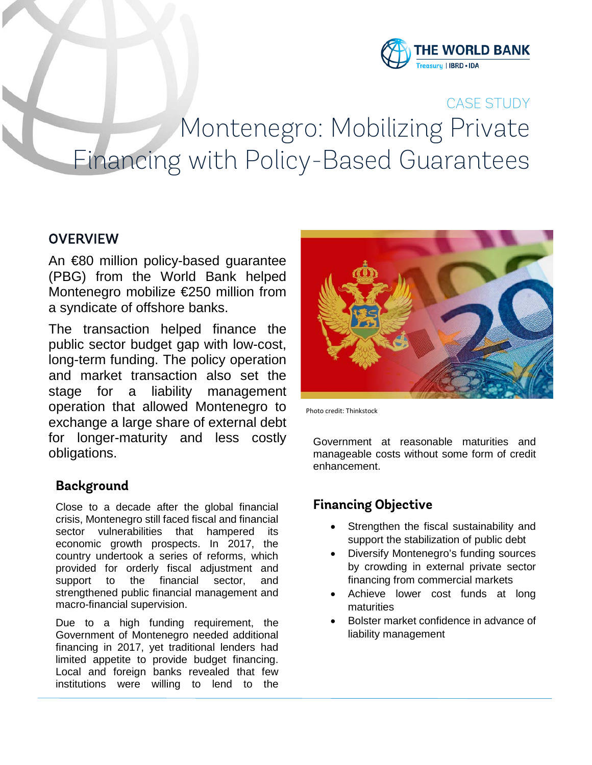

# CASE STUDY Montenegro: Mobilizing Private Financing with Policy-Based Guarantees

# **OVERVIEW**

An €80 million policy-based guarantee (PBG) from the World Bank helped Montenegro mobilize €250 million from a syndicate of offshore banks.

The transaction helped finance the public sector budget gap with low-cost, long-term funding. The policy operation and market transaction also set the stage for a liability management operation that allowed Montenegro to exchange a large share of external debt for longer-maturity and less costly obligations.

## **Background**

Close to a decade after the global financial crisis, Montenegro still faced fiscal and financial sector vulnerabilities that hampered its economic growth prospects. In 2017, the country undertook a series of reforms, which provided for orderly fiscal adjustment and support to the financial sector, and strengthened public financial management and macro-financial supervision.

Due to a high funding requirement, the Government of Montenegro needed additional financing in 2017, yet traditional lenders had limited appetite to provide budget financing. Local and foreign banks revealed that few institutions were willing to lend to the



Photo credit: Thinkstock

Government at reasonable maturities and manageable costs without some form of credit enhancement.

## **Financing Objective**

- Strengthen the fiscal sustainability and support the stabilization of public debt
- Diversify Montenegro's funding sources by crowding in external private sector financing from commercial markets
- Achieve lower cost funds at long maturities
- Bolster market confidence in advance of liability management